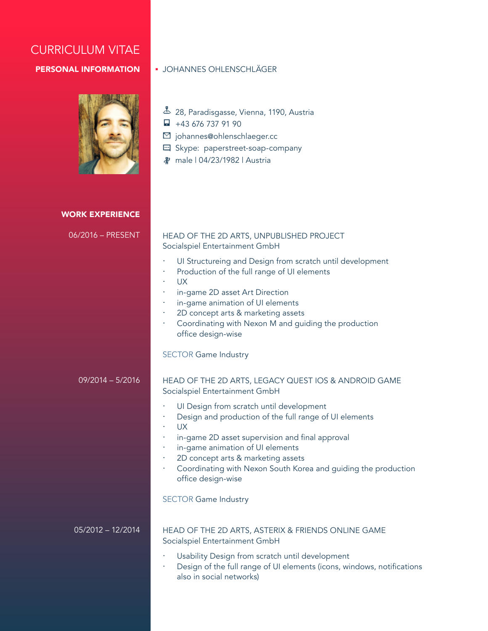# CURRICULUM VITAE

## PERSONAL INFORMATION



## Johannes Ohlenschläger

- 28, Paradisgasse, Vienna, 1190, Austria
- $\Box$  +43 676 737 91 90
- johannes@ohlenschlaeger.cc
- Skype: paperstreet-soap-company
- male | 04/23/1982 | Austria

#### WORK EXPERIENCE

| 06/2016 – PRESENT   | HEAD OF THE 2D ARTS, UNPUBLISHED PROJECT<br>Socialspiel Entertainment GmbH                                                                                                                                                                                                                                                                |  |  |
|---------------------|-------------------------------------------------------------------------------------------------------------------------------------------------------------------------------------------------------------------------------------------------------------------------------------------------------------------------------------------|--|--|
|                     | UI Structureing and Design from scratch until development<br>Production of the full range of UI elements<br><b>UX</b><br>in-game 2D asset Art Direction<br>in-game animation of UI elements<br>2D concept arts & marketing assets<br>Coordinating with Nexon M and guiding the production<br>٠<br>office design-wise                      |  |  |
|                     | <b>SECTOR Game Industry</b>                                                                                                                                                                                                                                                                                                               |  |  |
| $09/2014 - 5/2016$  | HEAD OF THE 2D ARTS, LEGACY QUEST IOS & ANDROID GAME<br>Socialspiel Entertainment GmbH                                                                                                                                                                                                                                                    |  |  |
|                     | UI Design from scratch until development<br>Design and production of the full range of UI elements<br><b>UX</b><br>in-game 2D asset supervision and final approval<br>in-game animation of UI elements<br>2D concept arts & marketing assets<br>Coordinating with Nexon South Korea and guiding the production<br>٠<br>office design-wise |  |  |
|                     | <b>SECTOR Game Industry</b>                                                                                                                                                                                                                                                                                                               |  |  |
| $05/2012 - 12/2014$ | HEAD OF THE 2D ARTS, ASTERIX & FRIENDS ONLINE GAME<br>Socialspiel Entertainment GmbH                                                                                                                                                                                                                                                      |  |  |
|                     | Usability Design from scratch until development<br>Design of the full range of UI elements (icons, windows, notifications<br>also in social networks)                                                                                                                                                                                     |  |  |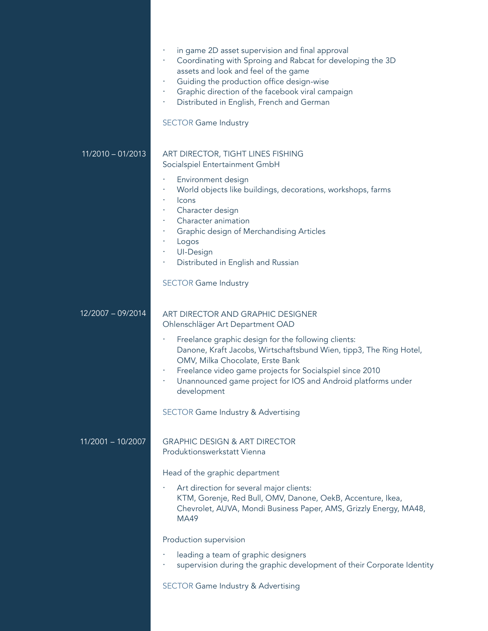|                     | in game 2D asset supervision and final approval<br>Coordinating with Sproing and Rabcat for developing the 3D<br>assets and look and feel of the game<br>Guiding the production office design-wise<br>Graphic direction of the facebook viral campaign<br>٠<br>Distributed in English, French and German<br>٠<br><b>SECTOR Game Industry</b> |
|---------------------|----------------------------------------------------------------------------------------------------------------------------------------------------------------------------------------------------------------------------------------------------------------------------------------------------------------------------------------------|
| $11/2010 - 01/2013$ | ART DIRECTOR, TIGHT LINES FISHING<br>Socialspiel Entertainment GmbH                                                                                                                                                                                                                                                                          |
|                     | Environment design<br>World objects like buildings, decorations, workshops, farms<br>Icons<br>Character design<br>Character animation<br>Graphic design of Merchandising Articles<br>Logos<br>UI-Design<br>Distributed in English and Russian                                                                                                |
|                     | <b>SECTOR Game Industry</b>                                                                                                                                                                                                                                                                                                                  |
| 12/2007 - 09/2014   | ART DIRECTOR AND GRAPHIC DESIGNER<br>Ohlenschläger Art Department OAD                                                                                                                                                                                                                                                                        |
|                     | Freelance graphic design for the following clients:<br>Danone, Kraft Jacobs, Wirtschaftsbund Wien, tipp3, The Ring Hotel,<br>OMV, Milka Chocolate, Erste Bank<br>Freelance video game projects for Socialspiel since 2010<br>Unannounced game project for IOS and Android platforms under<br>٠<br>development                                |
|                     | <b>SECTOR Game Industry &amp; Advertising</b>                                                                                                                                                                                                                                                                                                |
| 11/2001 - 10/2007   | <b>GRAPHIC DESIGN &amp; ART DIRECTOR</b><br>Produktionswerkstatt Vienna                                                                                                                                                                                                                                                                      |
|                     | Head of the graphic department                                                                                                                                                                                                                                                                                                               |
|                     | Art direction for several major clients:<br>KTM, Gorenje, Red Bull, OMV, Danone, OekB, Accenture, Ikea,<br>Chevrolet, AUVA, Mondi Business Paper, AMS, Grizzly Energy, MA48,<br>MA49                                                                                                                                                         |
|                     | Production supervision                                                                                                                                                                                                                                                                                                                       |
|                     | leading a team of graphic designers<br>supervision during the graphic development of their Corporate Identity                                                                                                                                                                                                                                |
|                     | <b>SECTOR Game Industry &amp; Advertising</b>                                                                                                                                                                                                                                                                                                |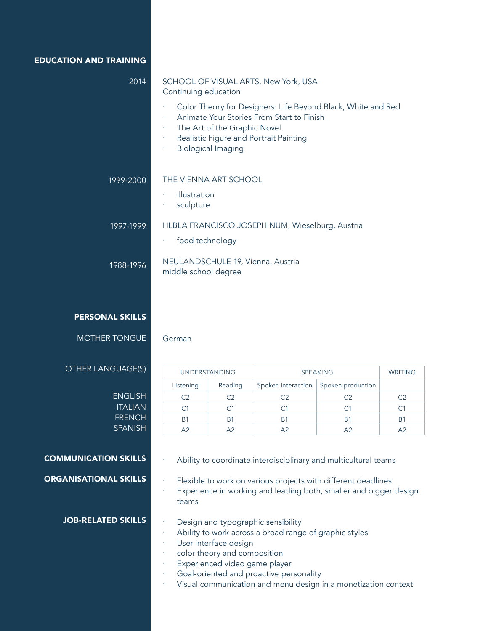EDUCATION AND TRAINING

| 2014      | SCHOOL OF VISUAL ARTS, New York, USA<br>Continuing education                                                                                                                                                                                      |
|-----------|---------------------------------------------------------------------------------------------------------------------------------------------------------------------------------------------------------------------------------------------------|
|           | Color Theory for Designers: Life Beyond Black, White and Red<br>٠<br>Animate Your Stories From Start to Finish<br>٠<br>The Art of the Graphic Novel<br>٠<br>Realistic Figure and Portrait Painting<br>٠<br><b>Biological Imaging</b><br>$\bullet$ |
| 1999-2000 | THE VIENNA ART SCHOOL<br>illustration<br>٠<br>sculpture<br>٠                                                                                                                                                                                      |
| 1997-1999 | HLBLA FRANCISCO JOSEPHINUM, Wieselburg, Austria<br>food technology<br>٠                                                                                                                                                                           |
| 1988-1996 | NEULANDSCHULE 19, Vienna, Austria<br>middle school degree                                                                                                                                                                                         |
|           |                                                                                                                                                                                                                                                   |

### PERSONAL SKILLS

Mother tongue

**ENGLISH ITALIAN FRENCH SPANISH**  German

#### Other language(s)

| <b>UNDERSTANDING</b> |         | <b>SPEAKING</b> |                                        | <b>WRITING</b> |
|----------------------|---------|-----------------|----------------------------------------|----------------|
| Listening            | Reading |                 | Spoken interaction   Spoken production |                |
| C <sub>2</sub>       | ∩?      | C2              | С2                                     | C2             |
| C1                   |         | €1              |                                        |                |
| <b>B1</b>            | B1      | <b>B1</b>       | B1                                     | B1             |
| A <sub>2</sub>       |         | Δ2              | Δ2                                     | A2             |

#### Communication skills

Organisational skills

- Ability to coordinate interdisciplinary and multicultural teams
- · Flexible to work on various projects with different deadlines · Experience in working and leading both, smaller and bigger design teams

## Job-related skills

- Design and typographic sensibility
- · Ability to work across a broad range of graphic styles
- · User interface design
- · color theory and composition
- · Experienced video game player
- · Goal-oriented and proactive personality
- Visual communication and menu design in a monetization context